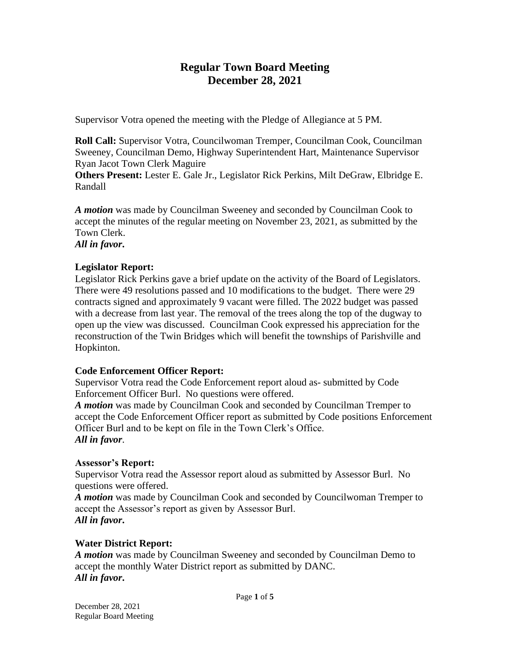# **Regular Town Board Meeting December 28, 2021**

Supervisor Votra opened the meeting with the Pledge of Allegiance at 5 PM.

**Roll Call:** Supervisor Votra, Councilwoman Tremper, Councilman Cook, Councilman Sweeney, Councilman Demo, Highway Superintendent Hart, Maintenance Supervisor Ryan Jacot Town Clerk Maguire

**Others Present:** Lester E. Gale Jr., Legislator Rick Perkins, Milt DeGraw, Elbridge E. Randall

*A motion* was made by Councilman Sweeney and seconded by Councilman Cook to accept the minutes of the regular meeting on November 23, 2021, as submitted by the Town Clerk.

*All in favor***.**

## **Legislator Report:**

Legislator Rick Perkins gave a brief update on the activity of the Board of Legislators. There were 49 resolutions passed and 10 modifications to the budget. There were 29 contracts signed and approximately 9 vacant were filled. The 2022 budget was passed with a decrease from last year. The removal of the trees along the top of the dugway to open up the view was discussed. Councilman Cook expressed his appreciation for the reconstruction of the Twin Bridges which will benefit the townships of Parishville and Hopkinton.

## **Code Enforcement Officer Report:**

Supervisor Votra read the Code Enforcement report aloud as- submitted by Code Enforcement Officer Burl. No questions were offered.

*A motion* was made by Councilman Cook and seconded by Councilman Tremper to accept the Code Enforcement Officer report as submitted by Code positions Enforcement Officer Burl and to be kept on file in the Town Clerk's Office. *All in favor*.

## **Assessor's Report:**

Supervisor Votra read the Assessor report aloud as submitted by Assessor Burl. No questions were offered.

*A motion* was made by Councilman Cook and seconded by Councilwoman Tremper to accept the Assessor's report as given by Assessor Burl. *All in favor***.**

## **Water District Report:**

*A motion* was made by Councilman Sweeney and seconded by Councilman Demo to accept the monthly Water District report as submitted by DANC. *All in favor***.**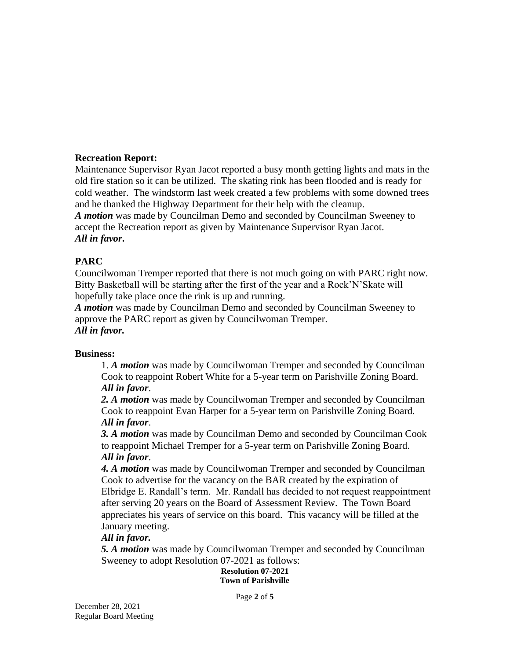### **Recreation Report:**

Maintenance Supervisor Ryan Jacot reported a busy month getting lights and mats in the old fire station so it can be utilized. The skating rink has been flooded and is ready for cold weather. The windstorm last week created a few problems with some downed trees and he thanked the Highway Department for their help with the cleanup. *A motion* was made by Councilman Demo and seconded by Councilman Sweeney to accept the Recreation report as given by Maintenance Supervisor Ryan Jacot. *All in favor***.**

### **PARC**

Councilwoman Tremper reported that there is not much going on with PARC right now. Bitty Basketball will be starting after the first of the year and a Rock'N'Skate will hopefully take place once the rink is up and running.

*A motion* was made by Councilman Demo and seconded by Councilman Sweeney to approve the PARC report as given by Councilwoman Tremper. *All in favor.*

### **Business:**

1. *A motion* was made by Councilwoman Tremper and seconded by Councilman Cook to reappoint Robert White for a 5-year term on Parishville Zoning Board. *All in favor*.

*2. A motion* was made by Councilwoman Tremper and seconded by Councilman Cook to reappoint Evan Harper for a 5-year term on Parishville Zoning Board. *All in favor*.

*3. A motion* was made by Councilman Demo and seconded by Councilman Cook to reappoint Michael Tremper for a 5-year term on Parishville Zoning Board. *All in favor*.

*4. A motion* was made by Councilwoman Tremper and seconded by Councilman Cook to advertise for the vacancy on the BAR created by the expiration of Elbridge E. Randall's term. Mr. Randall has decided to not request reappointment after serving 20 years on the Board of Assessment Review. The Town Board appreciates his years of service on this board. This vacancy will be filled at the January meeting.

### *All in favor.*

*5. A motion* was made by Councilwoman Tremper and seconded by Councilman Sweeney to adopt Resolution 07-2021 as follows:

### **Resolution 07-2021 Town of Parishville**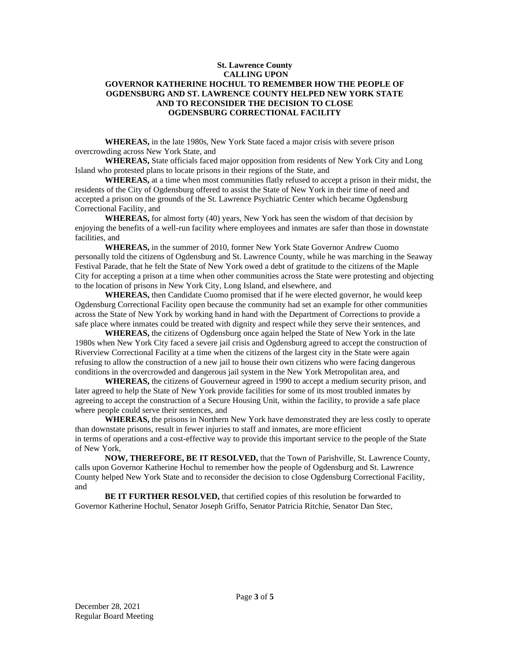#### **St. Lawrence County CALLING UPON GOVERNOR KATHERINE HOCHUL TO REMEMBER HOW THE PEOPLE OF OGDENSBURG AND ST. LAWRENCE COUNTY HELPED NEW YORK STATE AND TO RECONSIDER THE DECISION TO CLOSE OGDENSBURG CORRECTIONAL FACILITY**

**WHEREAS,** in the late 1980s, New York State faced a major crisis with severe prison overcrowding across New York State, and

**WHEREAS,** State officials faced major opposition from residents of New York City and Long Island who protested plans to locate prisons in their regions of the State, and

**WHEREAS,** at a time when most communities flatly refused to accept a prison in their midst, the residents of the City of Ogdensburg offered to assist the State of New York in their time of need and accepted a prison on the grounds of the St. Lawrence Psychiatric Center which became Ogdensburg Correctional Facility, and

**WHEREAS,** for almost forty (40) years, New York has seen the wisdom of that decision by enjoying the benefits of a well-run facility where employees and inmates are safer than those in downstate facilities, and

**WHEREAS,** in the summer of 2010, former New York State Governor Andrew Cuomo personally told the citizens of Ogdensburg and St. Lawrence County, while he was marching in the Seaway Festival Parade, that he felt the State of New York owed a debt of gratitude to the citizens of the Maple City for accepting a prison at a time when other communities across the State were protesting and objecting to the location of prisons in New York City, Long Island, and elsewhere, and

**WHEREAS,** then Candidate Cuomo promised that if he were elected governor, he would keep Ogdensburg Correctional Facility open because the community had set an example for other communities across the State of New York by working hand in hand with the Department of Corrections to provide a safe place where inmates could be treated with dignity and respect while they serve their sentences, and

**WHEREAS,** the citizens of Ogdensburg once again helped the State of New York in the late 1980s when New York City faced a severe jail crisis and Ogdensburg agreed to accept the construction of Riverview Correctional Facility at a time when the citizens of the largest city in the State were again refusing to allow the construction of a new jail to house their own citizens who were facing dangerous conditions in the overcrowded and dangerous jail system in the New York Metropolitan area, and

**WHEREAS,** the citizens of Gouverneur agreed in 1990 to accept a medium security prison, and later agreed to help the State of New York provide facilities for some of its most troubled inmates by agreeing to accept the construction of a Secure Housing Unit, within the facility, to provide a safe place where people could serve their sentences, and

**WHEREAS,** the prisons in Northern New York have demonstrated they are less costly to operate than downstate prisons, result in fewer injuries to staff and inmates, are more efficient in terms of operations and a cost-effective way to provide this important service to the people of the State of New York,

**NOW, THEREFORE, BE IT RESOLVED,** that the Town of Parishville, St. Lawrence County, calls upon Governor Katherine Hochul to remember how the people of Ogdensburg and St. Lawrence County helped New York State and to reconsider the decision to close Ogdensburg Correctional Facility, and

**BE IT FURTHER RESOLVED,** that certified copies of this resolution be forwarded to Governor Katherine Hochul, Senator Joseph Griffo, Senator Patricia Ritchie, Senator Dan Stec,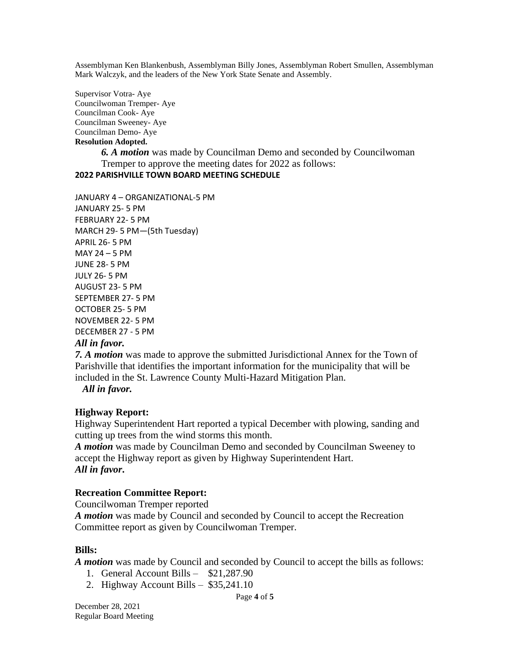Assemblyman Ken Blankenbush, Assemblyman Billy Jones, Assemblyman Robert Smullen, Assemblyman Mark Walczyk, and the leaders of the New York State Senate and Assembly.

Supervisor Votra- Aye Councilwoman Tremper- Aye Councilman Cook- Aye Councilman Sweeney- Aye Councilman Demo- Aye **Resolution Adopted.**

> *6. A motion* was made by Councilman Demo and seconded by Councilwoman Tremper to approve the meeting dates for 2022 as follows:

### **2022 PARISHVILLE TOWN BOARD MEETING SCHEDULE**

JANUARY 4 – ORGANIZATIONAL-5 PM JANUARY 25- 5 PM FEBRUARY 22- 5 PM MARCH 29- 5 PM—(5th Tuesday) APRIL 26- 5 PM MAY 24 – 5 PM JUNE 28- 5 PM JULY 26- 5 PM AUGUST 23- 5 PM SEPTEMBER 27- 5 PM OCTOBER 25- 5 PM NOVEMBER 22- 5 PM DECEMBER 27 - 5 PM

### *All in favor.*

*7. A motion* was made to approve the submitted Jurisdictional Annex for the Town of Parishville that identifies the important information for the municipality that will be included in the St. Lawrence County Multi-Hazard Mitigation Plan.

 *All in favor.*

### **Highway Report:**

Highway Superintendent Hart reported a typical December with plowing, sanding and cutting up trees from the wind storms this month.

*A motion* was made by Councilman Demo and seconded by Councilman Sweeney to accept the Highway report as given by Highway Superintendent Hart. *All in favor***.**

#### **Recreation Committee Report:**

Councilwoman Tremper reported

*A motion* was made by Council and seconded by Council to accept the Recreation Committee report as given by Councilwoman Tremper.

### **Bills:**

*A motion* was made by Council and seconded by Council to accept the bills as follows:

- 1. General Account Bills \$21,287.90
- 2. Highway Account Bills \$35,241.10